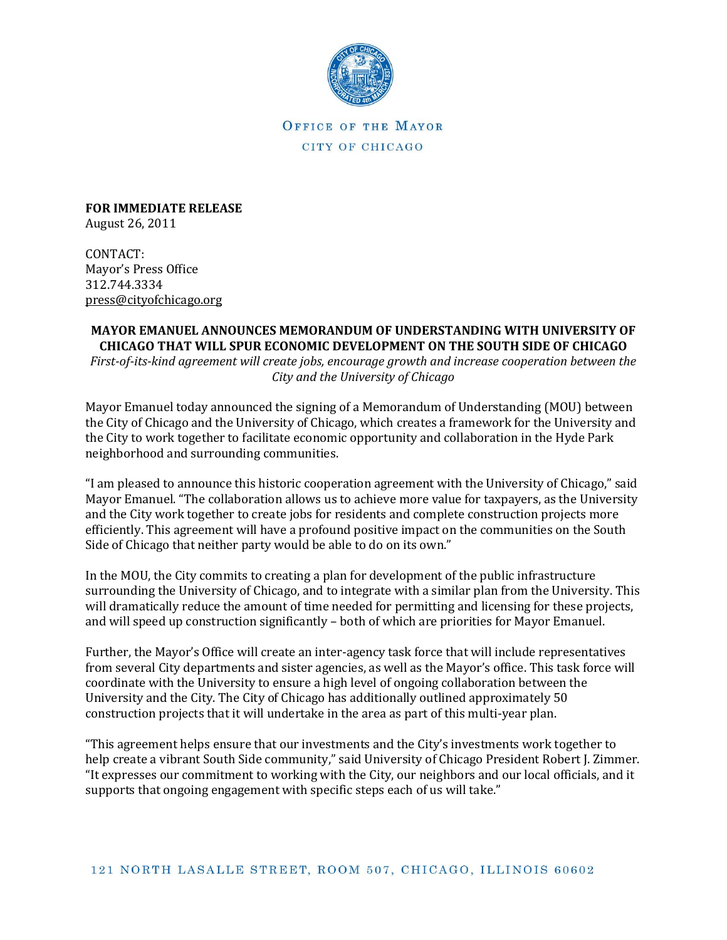

OFFICE OF THE MAYOR CITY OF CHICAGO

**FOR IMMEDIATE RELEASE** August 26, 2011

CONTACT: Mayor's Press Office 312.744.3334 [press@cityofchicago.org](mailto:press@cityofchicago.org)

## **MAYOR EMANUEL ANNOUNCES MEMORANDUM OF UNDERSTANDING WITH UNIVERSITY OF CHICAGO THAT WILL SPUR ECONOMIC DEVELOPMENT ON THE SOUTH SIDE OF CHICAGO**

*First-of-its-kind agreement will create jobs, encourage growth and increase cooperation between the City and the University of Chicago*

Mayor Emanuel today announced the signing of a Memorandum of Understanding (MOU) between the City of Chicago and the University of Chicago, which creates a framework for the University and the City to work together to facilitate economic opportunity and collaboration in the Hyde Park neighborhood and surrounding communities.

"I am pleased to announce this historic cooperation agreement with the University of Chicago," said Mayor Emanuel. "The collaboration allows us to achieve more value for taxpayers, as the University and the City work together to create jobs for residents and complete construction projects more efficiently. This agreement will have a profound positive impact on the communities on the South Side of Chicago that neither party would be able to do on its own."

In the MOU, the City commits to creating a plan for development of the public infrastructure surrounding the University of Chicago, and to integrate with a similar plan from the University. This will dramatically reduce the amount of time needed for permitting and licensing for these projects, and will speed up construction significantly – both of which are priorities for Mayor Emanuel.

Further, the Mayor's Office will create an inter-agency task force that will include representatives from several City departments and sister agencies, as well as the Mayor's office. This task force will coordinate with the University to ensure a high level of ongoing collaboration between the University and the City. The City of Chicago has additionally outlined approximately 50 construction projects that it will undertake in the area as part of this multi-year plan.

"This agreement helps ensure that our investments and the City's investments work together to help create a vibrant South Side community," said University of Chicago President Robert J. Zimmer. "It expresses our commitment to working with the City, our neighbors and our local officials, and it supports that ongoing engagement with specific steps each of us will take."